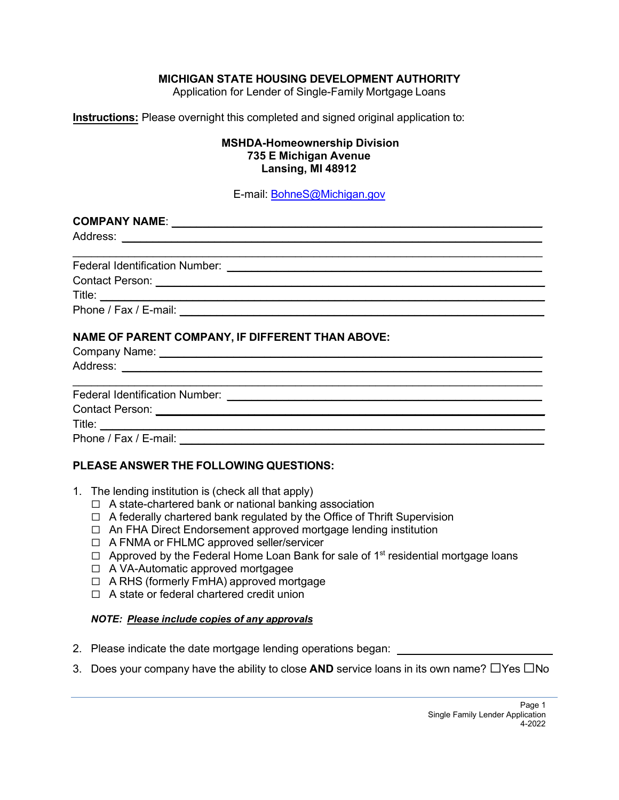## **MICHIGAN STATE HOUSING DEVELOPMENT AUTHORITY**

Application for Lender of Single-Family Mortgage Loans

**Instructions:** Please overnight this completed and signed original application to:

#### **MSHDA-Homeownership Division 735 E Michigan Avenue Lansing, MI 48912**

E-mail: [BohneS@Michigan.gov](mailto:BohneS@Michigan.gov)

| NAME OF PARENT COMPANY, IF DIFFERENT THAN ABOVE: |  |
|--------------------------------------------------|--|
|                                                  |  |
|                                                  |  |
|                                                  |  |
|                                                  |  |
|                                                  |  |

## **PLEASE ANSWER THE FOLLOWING QUESTIONS:**

- 1. The lending institution is (check all that apply)
	- ☐ A state-chartered bank or national banking association
	- ☐ A federally chartered bank regulated by the Office of Thrift Supervision
	- ☐ An FHA Direct Endorsement approved mortgage lending institution
	- ☐ A FNMA or FHLMC approved seller/servicer
	- $\Box$  Approved by the Federal Home Loan Bank for sale of 1<sup>st</sup> residential mortgage loans
	- ☐ A VA-Automatic approved mortgagee
	- ☐ A RHS (formerly FmHA) approved mortgage
	- ☐ A state or federal chartered credit union

#### *NOTE: Please include copies of any approvals*

- 2. Please indicate the date mortgage lending operations began:
- 3. Does your company have the ability to close **AND** service loans in its own name?  $\Box$ Yes  $\Box$ No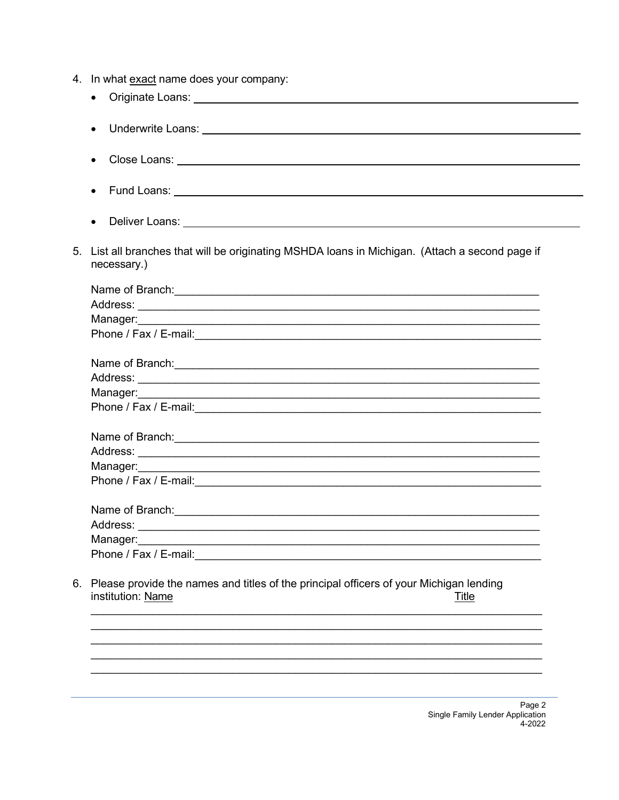- 4. In what exact name does your company:
- Originate Loans: The Contract of Security and Security and Security and Security and Security and Security and Security and Security and Security and Security and Security and Security and Security and Security and Secur • Underwrite Loans: The Communication of the Communication of the Communication of the Communication of the Communication of the Communication of the Communication of the Communication of the Communication of the Communica • Fund Loans:  $\frac{1}{2}$  and  $\frac{1}{2}$  and  $\frac{1}{2}$  and  $\frac{1}{2}$  and  $\frac{1}{2}$  and  $\frac{1}{2}$  and  $\frac{1}{2}$  and  $\frac{1}{2}$  and  $\frac{1}{2}$  and  $\frac{1}{2}$  and  $\frac{1}{2}$  and  $\frac{1}{2}$  and  $\frac{1}{2}$  and  $\frac{1}{2}$  and  $\frac{1}{2}$  a  $\bullet$  Deliver Loans:  $\bullet$  Deliver Loans:  $\bullet$  Deliver Loans:  $\bullet$  Deliver Loans: 5. List all branches that will be originating MSHDA loans in Michigan. (Attach a second page if necessary.) Manager: <u> 1989 - Johann Stoff, deutscher Stoffen und der Stoffen und der Stoffen und der Stoffen und der Stoffen und de</u> Phone / Fax / E-mail: <u>\_\_\_\_\_\_\_\_\_\_\_\_\_\_\_</u> Name of Branch: <u>Alexander State of Branch State of Branch State of Branch State of Branch State of Branch State of Branch State of Branch State of Branch State of Branch State of Branch State of Branch State of Branch Sta</u> Phone / Fax / E-mail: <u>Contract Communication</u> of the contract of the contract of the contract of the contract of the contract of the contract of the contract of the contract of the contract of the contract of the contract Manager: Phone / Fax / E-mail: The contract of the contract of the contract of the contract of the contract of the contract of the contract of the contract of the contract of the contract of the contract of the contract of the cont Name of Branch: the contract of the contract of the contract of the contract of the contract of the contract of the contract of the contract of the contract of the contract of the contract of the contract of the contract o Manager: Phone / Fax / E-mail: The contract of the contract of the contract of the contract of the contract of the contract of the contract of the contract of the contract of the contract of the contract of the contract of the cont 6. Please provide the names and titles of the principal officers of your Michigan lending institution: Name Title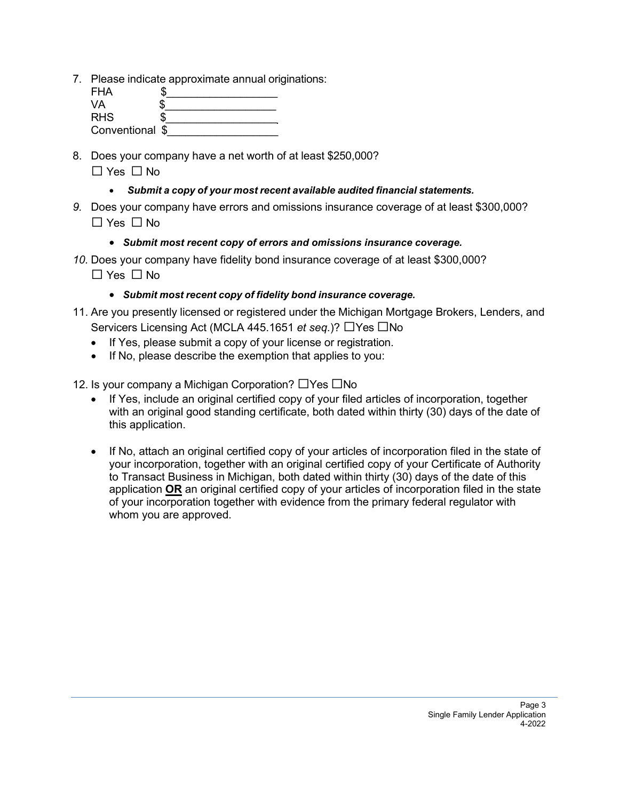7. Please indicate approximate annual originations:

| <b>FHA</b>      |  |
|-----------------|--|
| VA              |  |
| <b>RHS</b>      |  |
| Conventional \$ |  |

- 8. Does your company have a net worth of at least \$250,000? ☐ Yes ☐ No
	- *Submit a copy of your most recent available audited financial statements.*
- *9.* Does your company have errors and omissions insurance coverage of at least \$300,000? ☐ Yes ☐ No
	- *Submit most recent copy of errors and omissions insurance coverage.*
- *10.* Does your company have fidelity bond insurance coverage of at least \$300,000?  $\Box$  Yes  $\Box$  No
	- *Submit most recent copy of fidelity bond insurance coverage.*
- 11. Are you presently licensed or registered under the Michigan Mortgage Brokers, Lenders, and Servicers Licensing Act (MCLA 445.1651 *et seq*.)? ☐Yes ☐No
	- If Yes, please submit a copy of your license or registration.
	- If No, please describe the exemption that applies to you:
- 12. Is your company a Michigan Corporation? ☐Yes ☐No
	- If Yes, include an original certified copy of your filed articles of incorporation, together with an original good standing certificate, both dated within thirty (30) days of the date of this application.
	- If No, attach an original certified copy of your articles of incorporation filed in the state of your incorporation, together with an original certified copy of your Certificate of Authority to Transact Business in Michigan, both dated within thirty (30) days of the date of this application **OR** an original certified copy of your articles of incorporation filed in the state of your incorporation together with evidence from the primary federal regulator with whom you are approved.